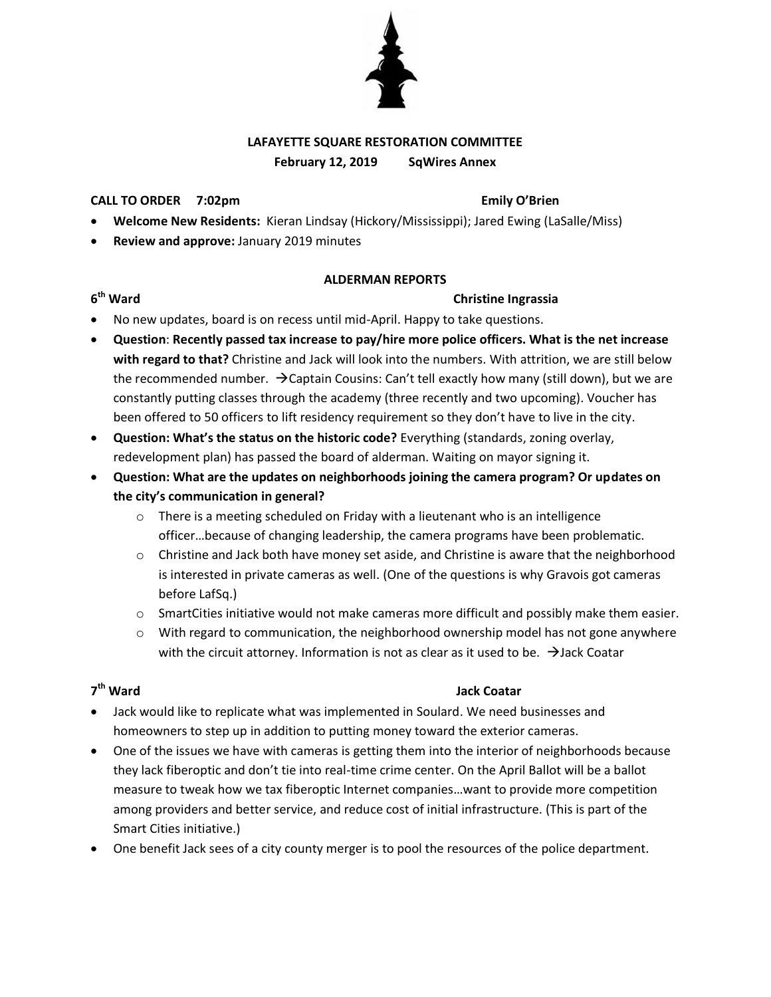

## **LAFAYETTE SQUARE RESTORATION COMMITTEE February 12, 2019 SqWires Annex**

# **CALL TO ORDER 7:02pm Emily O'Brien**

- **Welcome New Residents:** Kieran Lindsay (Hickory/Mississippi); Jared Ewing (LaSalle/Miss)
- **Review and approve:** January 2019 minutes

### **ALDERMAN REPORTS**

## **6**

### **Christine Ingrassia**

- No new updates, board is on recess until mid-April. Happy to take questions.
- **Question**: **Recently passed tax increase to pay/hire more police officers. What is the net increase with regard to that?** Christine and Jack will look into the numbers. With attrition, we are still below the recommended number.  $\rightarrow$  Captain Cousins: Can't tell exactly how many (still down), but we are constantly putting classes through the academy (three recently and two upcoming). Voucher has been offered to 50 officers to lift residency requirement so they don't have to live in the city.
- **Question: What's the status on the historic code?** Everything (standards, zoning overlay, redevelopment plan) has passed the board of alderman. Waiting on mayor signing it.
- **Question: What are the updates on neighborhoods joining the camera program? Or updates on the city's communication in general?** 
	- o There is a meeting scheduled on Friday with a lieutenant who is an intelligence officer…because of changing leadership, the camera programs have been problematic.
	- $\circ$  Christine and Jack both have money set aside, and Christine is aware that the neighborhood is interested in private cameras as well. (One of the questions is why Gravois got cameras before LafSq.)
	- $\circ$  SmartCities initiative would not make cameras more difficult and possibly make them easier.
	- $\circ$  With regard to communication, the neighborhood ownership model has not gone anywhere with the circuit attorney. Information is not as clear as it used to be.  $\rightarrow$  Jack Coatar

# 7<sup>th</sup> Ward

### **Jack Coatar**

- Jack would like to replicate what was implemented in Soulard. We need businesses and homeowners to step up in addition to putting money toward the exterior cameras.
- One of the issues we have with cameras is getting them into the interior of neighborhoods because they lack fiberoptic and don't tie into real-time crime center. On the April Ballot will be a ballot measure to tweak how we tax fiberoptic Internet companies…want to provide more competition among providers and better service, and reduce cost of initial infrastructure. (This is part of the Smart Cities initiative.)
- One benefit Jack sees of a city county merger is to pool the resources of the police department.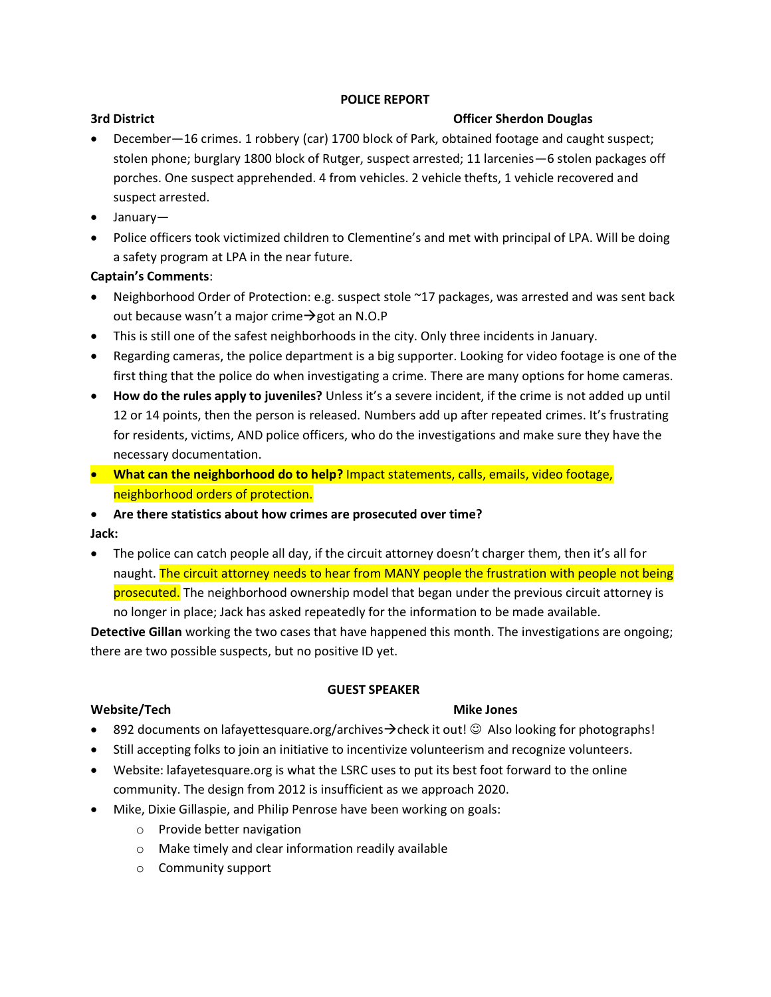### **POLICE REPORT**

### **3rd District Community Community Community Community Community Community Community Community Community Community Community Community Community Community Community Community Community Community Community Community Communit**

- December—16 crimes. 1 robbery (car) 1700 block of Park, obtained footage and caught suspect; stolen phone; burglary 1800 block of Rutger, suspect arrested; 11 larcenies—6 stolen packages off porches. One suspect apprehended. 4 from vehicles. 2 vehicle thefts, 1 vehicle recovered and suspect arrested.
- January—
- Police officers took victimized children to Clementine's and met with principal of LPA. Will be doing a safety program at LPA in the near future.

# **Captain's Comments**:

- Neighborhood Order of Protection: e.g. suspect stole ~17 packages, was arrested and was sent back out because wasn't a major crime  $\rightarrow$  got an N.O.P
- This is still one of the safest neighborhoods in the city. Only three incidents in January.
- Regarding cameras, the police department is a big supporter. Looking for video footage is one of the first thing that the police do when investigating a crime. There are many options for home cameras.
- **How do the rules apply to juveniles?** Unless it's a severe incident, if the crime is not added up until 12 or 14 points, then the person is released. Numbers add up after repeated crimes. It's frustrating for residents, victims, AND police officers, who do the investigations and make sure they have the necessary documentation.
- **What can the neighborhood do to help?** Impact statements, calls, emails, video footage, neighborhood orders of protection.

# **Are there statistics about how crimes are prosecuted over time?**

**Jack:**

• The police can catch people all day, if the circuit attorney doesn't charger them, then it's all for naught. The circuit attorney needs to hear from MANY people the frustration with people not being prosecuted. The neighborhood ownership model that began under the previous circuit attorney is no longer in place; Jack has asked repeatedly for the information to be made available.

**Detective Gillan** working the two cases that have happened this month. The investigations are ongoing; there are two possible suspects, but no positive ID yet.

### **GUEST SPEAKER**

# **Website/Tech Mike Jones Mike Jones**

- **892 documents on lafayettesquare.org/archives**  $\rightarrow$  **check it out!**  $\odot$  **Also looking for photographs!**
- Still accepting folks to join an initiative to incentivize volunteerism and recognize volunteers.
- Website: lafayetesquare.org is what the LSRC uses to put its best foot forward to the online community. The design from 2012 is insufficient as we approach 2020.
- Mike, Dixie Gillaspie, and Philip Penrose have been working on goals:
	- o Provide better navigation
	- o Make timely and clear information readily available
	- o Community support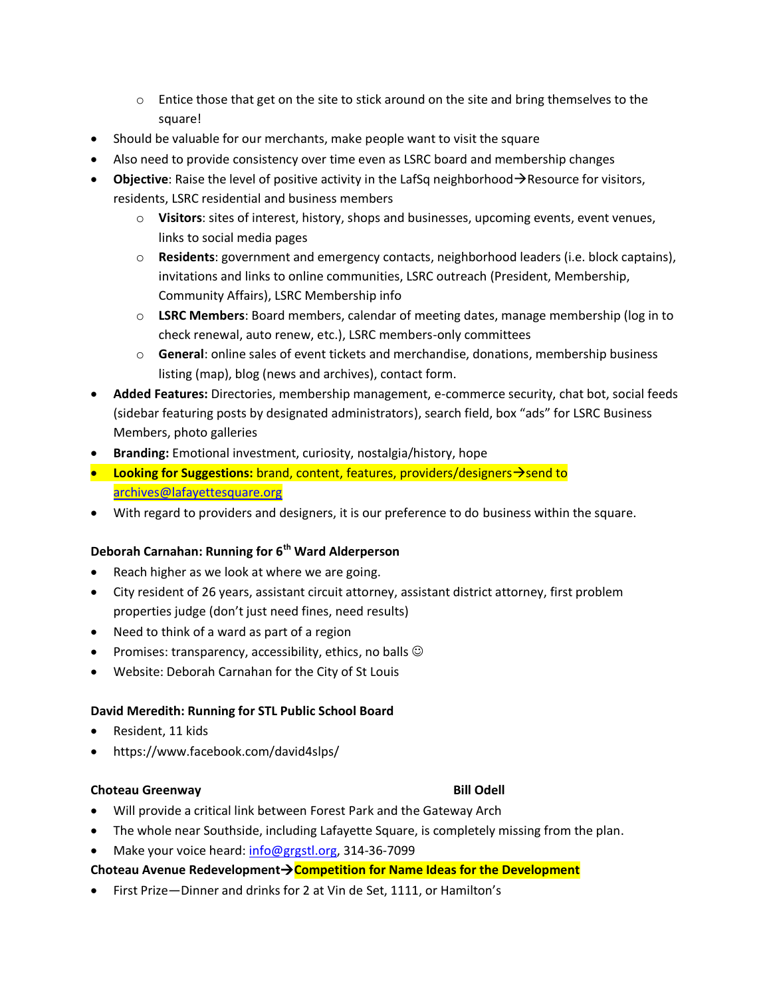- $\circ$  Entice those that get on the site to stick around on the site and bring themselves to the square!
- Should be valuable for our merchants, make people want to visit the square
- Also need to provide consistency over time even as LSRC board and membership changes
- **Objective**: Raise the level of positive activity in the LafSq neighborhood  $\rightarrow$  Resource for visitors, residents, LSRC residential and business members
	- o **Visitors**: sites of interest, history, shops and businesses, upcoming events, event venues, links to social media pages
	- o **Residents**: government and emergency contacts, neighborhood leaders (i.e. block captains), invitations and links to online communities, LSRC outreach (President, Membership, Community Affairs), LSRC Membership info
	- o **LSRC Members**: Board members, calendar of meeting dates, manage membership (log in to check renewal, auto renew, etc.), LSRC members-only committees
	- o **General**: online sales of event tickets and merchandise, donations, membership business listing (map), blog (news and archives), contact form.
- **Added Features:** Directories, membership management, e-commerce security, chat bot, social feeds (sidebar featuring posts by designated administrators), search field, box "ads" for LSRC Business Members, photo galleries
- **Branding:** Emotional investment, curiosity, nostalgia/history, hope
- **Looking for Suggestions:** brand, content, features, providers/designers  $\rightarrow$  send to [archives@lafayettesquare.org](mailto:archives@lafayettesquare.org)
- With regard to providers and designers, it is our preference to do business within the square.

# **Deborah Carnahan: Running for 6th Ward Alderperson**

- Reach higher as we look at where we are going.
- City resident of 26 years, assistant circuit attorney, assistant district attorney, first problem properties judge (don't just need fines, need results)
- Need to think of a ward as part of a region
- Promises: transparency, accessibility, ethics, no balls  $\odot$
- Website: Deborah Carnahan for the City of St Louis

### **David Meredith: Running for STL Public School Board**

- Resident, 11 kids
- https://www.facebook.com/david4slps/

### **Choteau Greenway Bill Odell**

- Will provide a critical link between Forest Park and the Gateway Arch
- The whole near Southside, including Lafayette Square, is completely missing from the plan.
- Make your voice heard: [info@grgstl.org,](mailto:info@grgstl.org) 314-36-7099

### **Choteau Avenue RedevelopmentCompetition for Name Ideas for the Development**

• First Prize—Dinner and drinks for 2 at Vin de Set, 1111, or Hamilton's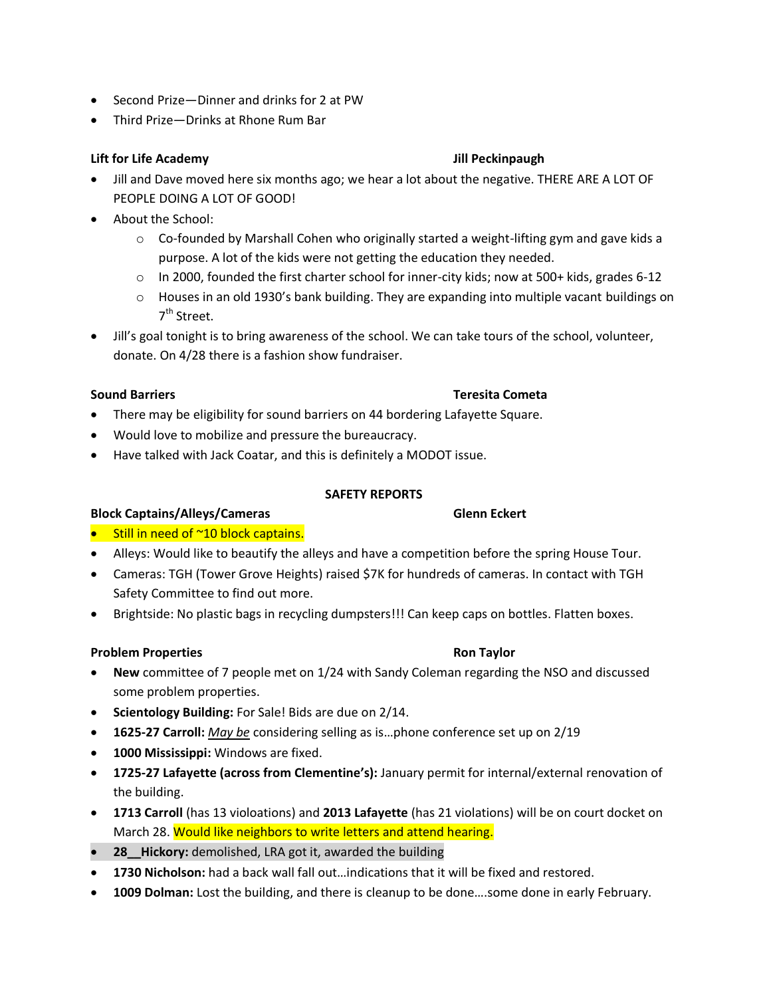- Second Prize—Dinner and drinks for 2 at PW
- Third Prize—Drinks at Rhone Rum Bar

### **Lift for Life Academy Jill Peckinpaugh**

- Jill and Dave moved here six months ago; we hear a lot about the negative. THERE ARE A LOT OF PEOPLE DOING A LOT OF GOOD!
- About the School:
	- $\circ$  Co-founded by Marshall Cohen who originally started a weight-lifting gym and gave kids a purpose. A lot of the kids were not getting the education they needed.
	- $\circ$  In 2000, founded the first charter school for inner-city kids; now at 500+ kids, grades 6-12
	- $\circ$  Houses in an old 1930's bank building. They are expanding into multiple vacant buildings on 7<sup>th</sup> Street.
- Jill's goal tonight is to bring awareness of the school. We can take tours of the school, volunteer, donate. On 4/28 there is a fashion show fundraiser.

- There may be eligibility for sound barriers on 44 bordering Lafayette Square.
- Would love to mobilize and pressure the bureaucracy.
- Have talked with Jack Coatar, and this is definitely a MODOT issue.

### **SAFETY REPORTS**

# **Block Captains/Alleys/Cameras Glenn Eckert**

- Still in need of ~10 block captains.
- Alleys: Would like to beautify the alleys and have a competition before the spring House Tour.
- Cameras: TGH (Tower Grove Heights) raised \$7K for hundreds of cameras. In contact with TGH Safety Committee to find out more.
- Brightside: No plastic bags in recycling dumpsters!!! Can keep caps on bottles. Flatten boxes.

# **Problem Properties Ron Taylor Ron Taylor**

- **New** committee of 7 people met on 1/24 with Sandy Coleman regarding the NSO and discussed some problem properties.
- **Scientology Building:** For Sale! Bids are due on 2/14.
- **1625-27 Carroll:** *May be* considering selling as is…phone conference set up on 2/19
- **1000 Mississippi:** Windows are fixed.
- **1725-27 Lafayette (across from Clementine's):** January permit for internal/external renovation of the building.
- **1713 Carroll** (has 13 violoations) and **2013 Lafayette** (has 21 violations) will be on court docket on March 28. Would like neighbors to write letters and attend hearing.
- **28\_\_Hickory:** demolished, LRA got it, awarded the building
- **1730 Nicholson:** had a back wall fall out…indications that it will be fixed and restored.
- **1009 Dolman:** Lost the building, and there is cleanup to be done….some done in early February.

**Sound Barriers Teresita Cometa**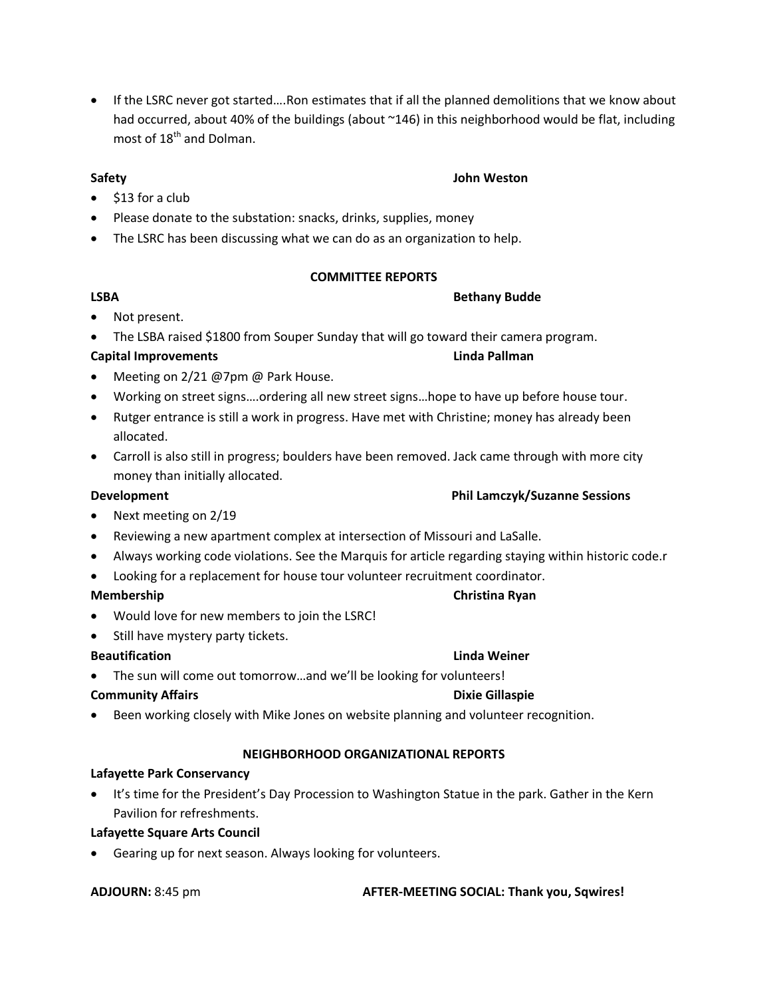■ If the LSRC never got started....Ron estimates that if all the planned demolitions that we know about had occurred, about 40% of the buildings (about ~146) in this neighborhood would be flat, including most of  $18<sup>th</sup>$  and Dolman.

# **Safety John Weston**

- $\bullet$  \$13 for a club
- Please donate to the substation: snacks, drinks, supplies, money
- The LSRC has been discussing what we can do as an organization to help.

# **COMMITTEE REPORTS**

# LSBA Bethany Budde

# • Not present.

The LSBA raised \$1800 from Souper Sunday that will go toward their camera program.

# **Capital Improvements Linda Pallman**

- Meeting on 2/21 @7pm @ Park House.
- Working on street signs….ordering all new street signs…hope to have up before house tour.
- Rutger entrance is still a work in progress. Have met with Christine; money has already been allocated.
- Carroll is also still in progress; boulders have been removed. Jack came through with more city money than initially allocated.

# **Development Phil Lamczyk/Suzanne Sessions**

- Next meeting on 2/19
- Reviewing a new apartment complex at intersection of Missouri and LaSalle.
- Always working code violations. See the Marquis for article regarding staying within historic code.r
- Looking for a replacement for house tour volunteer recruitment coordinator.

- Would love for new members to join the LSRC!
- Still have mystery party tickets.

# **Beautification Linda Weiner**

• The sun will come out tomorrow...and we'll be looking for volunteers!

# **Community Affairs Access 2008 12:30 Community Affairs** Access 2008 2012 2013 2014

Been working closely with Mike Jones on website planning and volunteer recognition.

# **NEIGHBORHOOD ORGANIZATIONAL REPORTS**

# **Lafayette Park Conservancy**

 It's time for the President's Day Procession to Washington Statue in the park. Gather in the Kern Pavilion for refreshments.

# **Lafayette Square Arts Council**

Gearing up for next season. Always looking for volunteers.

**ADJOURN:** 8:45 pm **AFTER-MEETING SOCIAL: Thank you, Sqwires!**

# **Membership Christina Ryan**